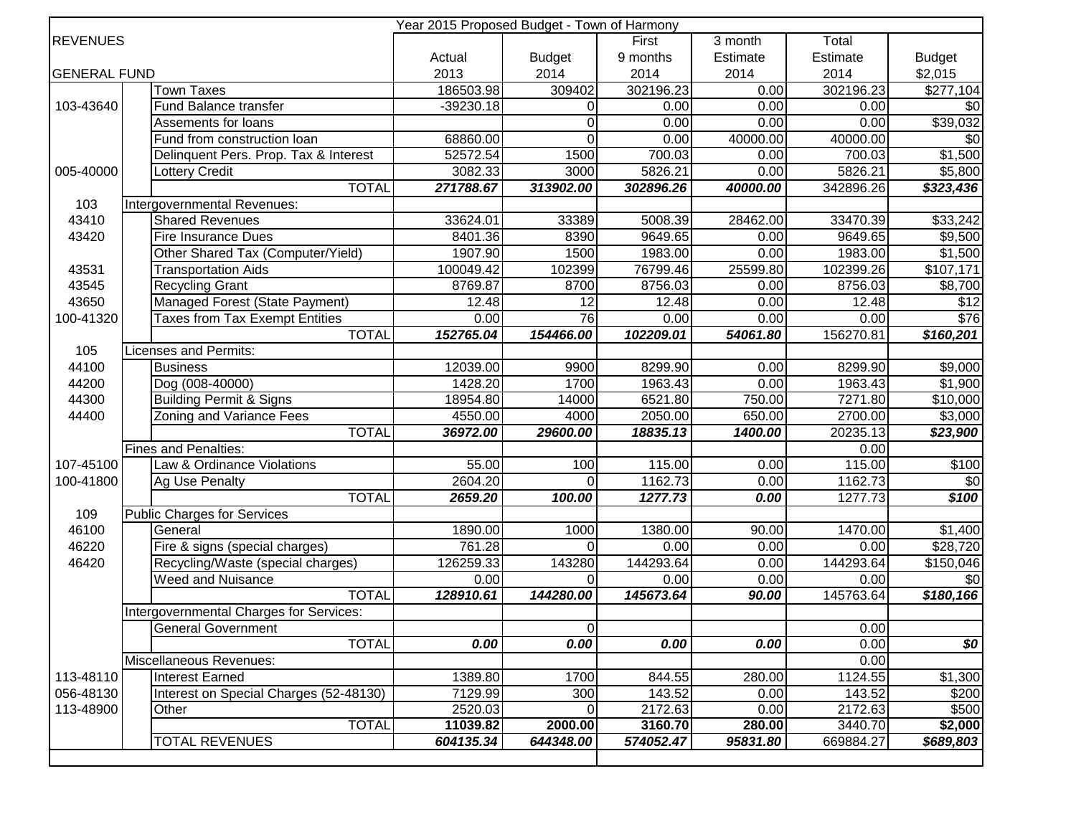|                     | Year 2015 Proposed Budget - Town of Harmony |             |                 |           |          |           |                     |  |
|---------------------|---------------------------------------------|-------------|-----------------|-----------|----------|-----------|---------------------|--|
| <b>REVENUES</b>     |                                             |             |                 | First     | 3 month  | Total     |                     |  |
|                     |                                             | Actual      | <b>Budget</b>   | 9 months  | Estimate | Estimate  | <b>Budget</b>       |  |
| <b>GENERAL FUND</b> |                                             | 2013        | 2014            | 2014      | 2014     | 2014      | \$2,015             |  |
|                     | <b>Town Taxes</b>                           | 186503.98   | 309402          | 302196.23 | 0.00     | 302196.23 | \$277,104           |  |
| 103-43640           | Fund Balance transfer                       | $-39230.18$ | 0               | 0.00      | 0.00     | 0.00      | \$0                 |  |
|                     | Assements for loans                         |             | $\Omega$        | 0.00      | 0.00     | 0.00      | \$39,032            |  |
|                     | Fund from construction loan                 | 68860.00    | $\Omega$        | 0.00      | 40000.00 | 40000.00  | \$0                 |  |
|                     | Delinquent Pers. Prop. Tax & Interest       | 52572.54    | 1500            | 700.03    | 0.00     | 700.03    | \$1,500             |  |
| 005-40000           | Lottery Credit                              | 3082.33     | 3000            | 5826.21   | 0.00     | 5826.21   | \$5,800             |  |
|                     | <b>TOTAL</b>                                | 271788.67   | 313902.00       | 302896.26 | 40000.00 | 342896.26 | \$323,436           |  |
| 103                 | Intergovernmental Revenues:                 |             |                 |           |          |           |                     |  |
| 43410               | <b>Shared Revenues</b>                      | 33624.01    | 33389           | 5008.39   | 28462.00 | 33470.39  | \$33,242            |  |
| 43420               | <b>Fire Insurance Dues</b>                  | 8401.36     | 8390            | 9649.65   | 0.00     | 9649.65   | \$9,500             |  |
|                     | Other Shared Tax (Computer/Yield)           | 1907.90     | 1500            | 1983.00   | 0.00     | 1983.00   | $\overline{$1,500}$ |  |
| 43531               | <b>Transportation Aids</b>                  | 100049.42   | 102399          | 76799.46  | 25599.80 | 102399.26 | \$107,171           |  |
| 43545               | <b>Recycling Grant</b>                      | 8769.87     | 8700            | 8756.03   | 0.00     | 8756.03   | $\overline{$8,700}$ |  |
| 43650               | Managed Forest (State Payment)              | 12.48       | 12              | 12.48     | 0.00     | 12.48     | $\sqrt{$12}$        |  |
| 100-41320           | <b>Taxes from Tax Exempt Entities</b>       | 0.00        | $\overline{76}$ | 0.00      | 0.00     | 0.00      | \$76                |  |
|                     | <b>TOTAL</b>                                | 152765.04   | 154466.00       | 102209.01 | 54061.80 | 156270.81 | \$160,201           |  |
| 105                 | Licenses and Permits:                       |             |                 |           |          |           |                     |  |
| 44100               | <b>Business</b>                             | 12039.00    | 9900            | 8299.90   | 0.00     | 8299.90   | $\overline{$9,000}$ |  |
| 44200               | Dog (008-40000)                             | 1428.20     | 1700            | 1963.43   | 0.00     | 1963.43   | $\frac{1}{1,900}$   |  |
| 44300               | <b>Building Permit &amp; Signs</b>          | 18954.80    | 14000           | 6521.80   | 750.00   | 7271.80   | $\sqrt{$10,000}$    |  |
| 44400               | Zoning and Variance Fees                    | 4550.00     | 4000            | 2050.00   | 650.00   | 2700.00   | \$3,000             |  |
|                     | <b>TOTAL</b>                                | 36972.00    | 29600.00        | 18835.13  | 1400.00  | 20235.13  | \$23,900            |  |
|                     | <b>Fines and Penalties:</b>                 |             |                 |           |          | 0.00      |                     |  |
| 107-45100           | Law & Ordinance Violations                  | 55.00       | 100             | 115.00    | 0.00     | 115.00    | \$100               |  |
| 100-41800           | Ag Use Penalty                              | 2604.20     | $\Omega$        | 1162.73   | 0.00     | 1162.73   | $\overline{50}$     |  |
|                     | <b>TOTAL</b>                                | 2659.20     | 100.00          | 1277.73   | 0.00     | 1277.73   | \$100               |  |
| 109                 | <b>Public Charges for Services</b>          |             |                 |           |          |           |                     |  |
| 46100               | General                                     | 1890.00     | 1000            | 1380.00   | 90.00    | 1470.00   | \$1,400             |  |
| 46220               | Fire & signs (special charges)              | 761.28      | $\Omega$        | 0.00      | 0.00     | 0.00      | \$28,720            |  |
| 46420               | Recycling/Waste (special charges)           | 126259.33   | 143280          | 144293.64 | 0.00     | 144293.64 | \$150,046           |  |
|                     | <b>Weed and Nuisance</b>                    | 0.00        | $\Omega$        | 0.00      | 0.00     | 0.00      | \$0                 |  |
|                     | <b>TOTAL</b>                                | 128910.61   | 144280.00       | 145673.64 | 90.00    | 145763.64 | \$180,166           |  |
|                     | Intergovernmental Charges for Services:     |             |                 |           |          |           |                     |  |
|                     | <b>General Government</b>                   |             | 0               |           |          | 0.00      |                     |  |
|                     | <b>TOTAL</b>                                | 0.00        | 0.00            | 0.00      | 0.00     | 0.00      | \$0                 |  |
|                     | Miscellaneous Revenues:                     |             |                 |           |          | 0.00      |                     |  |
| 113-48110           | <b>Interest Earned</b>                      | 1389.80     | 1700            | 844.55    | 280.00   | 1124.55   | \$1,300             |  |
| 056-48130           | Interest on Special Charges (52-48130)      | 7129.99     | 300             | 143.52    | 0.00     | 143.52    | \$200               |  |
| 113-48900           | Other                                       | 2520.03     |                 | 2172.63   | 0.00     | 2172.63   | \$500               |  |
|                     | <b>TOTAL</b>                                | 11039.82    | 2000.00         | 3160.70   | 280.00   | 3440.70   | \$2,000             |  |
|                     | <b>TOTAL REVENUES</b>                       | 604135.34   | 644348.00       | 574052.47 | 95831.80 | 669884.27 | \$689,803           |  |
|                     |                                             |             |                 |           |          |           |                     |  |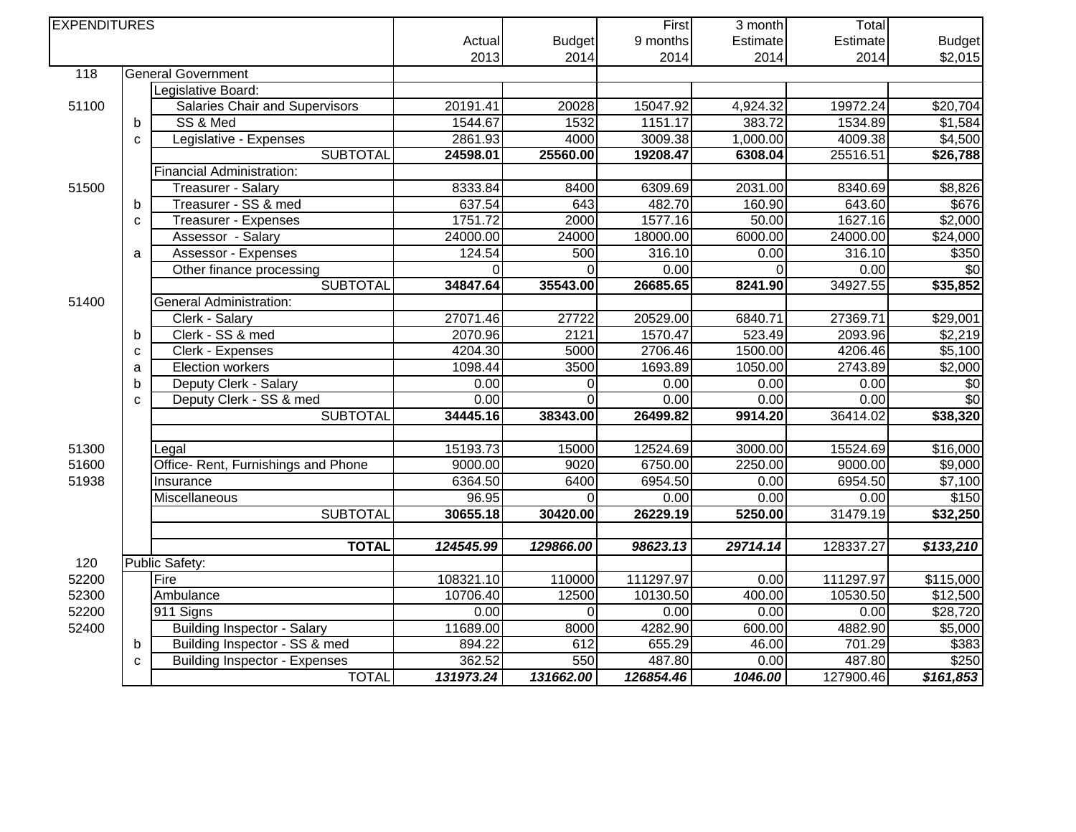| <b>EXPENDITURES</b> |              |                                      |           | First         | $\overline{3}$ month | Total    |           |                 |
|---------------------|--------------|--------------------------------------|-----------|---------------|----------------------|----------|-----------|-----------------|
|                     |              |                                      | Actual    | <b>Budget</b> | 9 months             | Estimate | Estimate  | <b>Budget</b>   |
|                     |              |                                      | 2013      | 2014          | 2014                 | 2014     | 2014      | \$2,015         |
| 118                 |              | <b>General Government</b>            |           |               |                      |          |           |                 |
|                     |              | Legislative Board:                   |           |               |                      |          |           |                 |
| 51100               |              | Salaries Chair and Supervisors       | 20191.41  | 20028         | 15047.92             | 4,924.32 | 19972.24  | \$20,704        |
|                     | $\mathsf b$  | SS & Med                             | 1544.67   | 1532          | 1151.17              | 383.72   | 1534.89   | \$1,584         |
|                     | $\mathbf C$  | Legislative - Expenses               | 2861.93   | 4000          | 3009.38              | 1,000.00 | 4009.38   | \$4,500         |
|                     |              | <b>SUBTOTAL</b>                      | 24598.01  | 25560.00      | 19208.47             | 6308.04  | 25516.51  | \$26,788        |
|                     |              | Financial Administration:            |           |               |                      |          |           |                 |
| 51500               |              | Treasurer - Salary                   | 8333.84   | 8400          | 6309.69              | 2031.00  | 8340.69   | \$8,826         |
|                     | $\mathbf b$  | Treasurer - SS & med                 | 637.54    | 643           | 482.70               | 160.90   | 643.60    | \$676           |
|                     | $\mathbf{C}$ | Treasurer - Expenses                 | 1751.72   | 2000          | 1577.16              | 50.00    | 1627.16   | \$2,000         |
|                     |              | Assessor - Salary                    | 24000.00  | 24000         | 18000.00             | 6000.00  | 24000.00  | \$24,000        |
|                     | a            | <b>Assessor - Expenses</b>           | 124.54    | 500           | 316.10               | 0.00     | 316.10    | \$350           |
|                     |              | Other finance processing             | $\Omega$  | $\Omega$      | 0.00                 | $\Omega$ | 0.00      | $\overline{30}$ |
|                     |              | <b>SUBTOTAL</b>                      | 34847.64  | 35543.00      | 26685.65             | 8241.90  | 34927.55  | \$35,852        |
| 51400               |              | <b>General Administration:</b>       |           |               |                      |          |           |                 |
|                     |              | Clerk - Salary                       | 27071.46  | 27722         | 20529.00             | 6840.71  | 27369.71  | \$29,001        |
|                     | b            | Clerk - SS & med                     | 2070.96   | 2121          | 1570.47              | 523.49   | 2093.96   | \$2,219         |
|                     | $\mathbf C$  | Clerk - Expenses                     | 4204.30   | 5000          | 2706.46              | 1500.00  | 4206.46   | \$5,100         |
|                     | a            | <b>Election workers</b>              | 1098.44   | 3500          | 1693.89              | 1050.00  | 2743.89   | \$2,000         |
|                     | b            | Deputy Clerk - Salary                | 0.00      | 0             | 0.00                 | 0.00     | 0.00      | \$0             |
|                     | C            | Deputy Clerk - SS & med              | 0.00      | 0             | 0.00                 | 0.00     | 0.00      | \$0             |
|                     |              | <b>SUBTOTAL</b>                      | 34445.16  | 38343.00      | 26499.82             | 9914.20  | 36414.02  | \$38,320        |
|                     |              |                                      |           |               |                      |          |           |                 |
| 51300               |              | Legal                                | 15193.73  | 15000         | 12524.69             | 3000.00  | 15524.69  | \$16,000        |
| 51600               |              | Office- Rent, Furnishings and Phone  | 9000.00   | 9020          | 6750.00              | 2250.00  | 9000.00   | \$9,000         |
| 51938               |              | Insurance                            | 6364.50   | 6400          | 6954.50              | 0.00     | 6954.50   | $\sqrt{$7,100}$ |
|                     |              | Miscellaneous                        | 96.95     | $\Omega$      | 0.00                 | 0.00     | 0.00      | \$150           |
|                     |              | <b>SUBTOTAL</b>                      | 30655.18  | 30420.00      | 26229.19             | 5250.00  | 31479.19  | \$32,250        |
|                     |              |                                      |           |               |                      |          |           |                 |
|                     |              | <b>TOTAL</b>                         | 124545.99 | 129866.00     | 98623.13             | 29714.14 | 128337.27 | \$133,210       |
| 120                 |              | <b>Public Safety:</b>                |           |               |                      |          |           |                 |
| 52200               |              | Fire                                 | 108321.10 | 110000        | 111297.97            | 0.00     | 111297.97 | \$115,000       |
| 52300               |              | Ambulance                            | 10706.40  | 12500         | 10130.50             | 400.00   | 10530.50  | \$12,500        |
| 52200               |              | 911 Signs                            | 0.00      | $\Omega$      | 0.00                 | 0.00     | 0.00      | \$28,720        |
| 52400               |              | <b>Building Inspector - Salary</b>   | 11689.00  | 8000          | 4282.90              | 600.00   | 4882.90   | \$5,000         |
|                     | b            | Building Inspector - SS & med        | 894.22    | 612           | 655.29               | 46.00    | 701.29    | \$383           |
|                     | $\mathbf{C}$ | <b>Building Inspector - Expenses</b> | 362.52    | 550           | 487.80               | 0.00     | 487.80    | \$250           |
|                     |              | <b>TOTAL</b>                         | 131973.24 | 131662.00     | 126854.46            | 1046.00  | 127900.46 | \$161,853       |